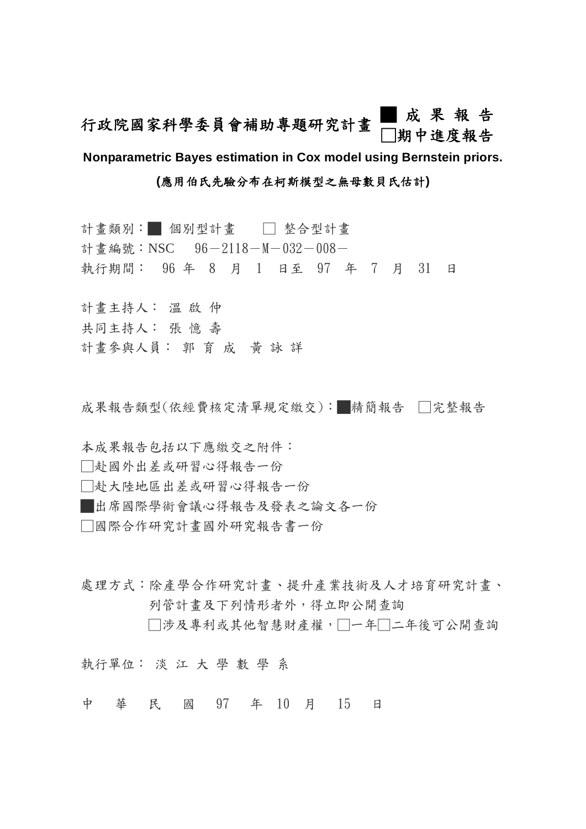# 行政院國家科學委員會補助專題研究計畫 ■成果報告 □期中進度報告

**Nonparametric Bayes estimation in Cox model using Bernstein priors.** 

# **(**應用伯氏先驗分布在柯斯模型之無母數貝氏估計**)**

- 計畫類別:■ 個別型計畫 □ 整合型計畫 計畫編號: NSC 96-2118-M-032-008-
- 執行期間: 96 年 8 月 1 日至 97 年 7 月 31 日
- 計畫主持人: 溫 啟 仲
- 共同主持人: 張 憶 壽
- 計畫參與人員: 郭 育 成 黃 詠 詳

成果報告類型(依經費核定清單規定繳交):■精簡報告 □完整報告

本成果報告包括以下應繳交之附件:

- □赴國外出差或研習心得報告一份
- □赴大陸地區出差或研習心得報告一份

█出席國際學術會議心得報告及發表之論文各一份

□國際合作研究計畫國外研究報告書一份

處理方式:除產學合作研究計畫、提升產業技術及人才培育研究計畫、 列管計畫及下列情形者外,得立即公開查詢

□涉及專利或其他智慧財產權,□一年□二年後可公開杳詢

執行單位: 淡 江 大 學 數 學 系

中 華 民 國 97 年 10 月 15 日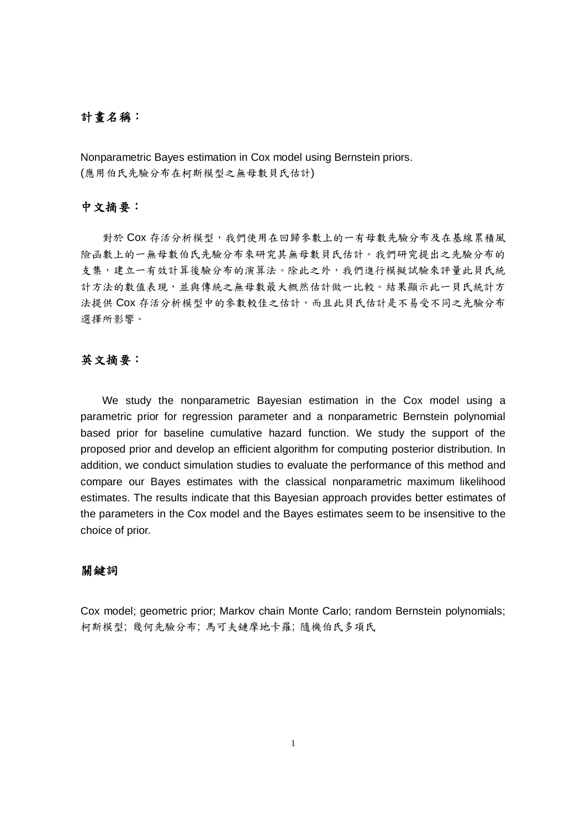## 計畫名稱:

Nonparametric Bayes estimation in Cox model using Bernstein priors. (應用伯氏先驗分布在柯斯模型之無母數貝氏估計)

## 中文摘要:

對於 Cox 存活分析模型, 我們使用在回歸參數上的一有母數先驗分布及在基線累積風 險函數上的一無母數伯氏先驗分布來研究其無母數貝氏估計。我們研究提出之先驗分布的 支集,建立一有效計算後驗分布的演算法。除此之外,我們進行模擬試驗來評量此貝氏統 計方法的數值表現,並與傳統之無母數最大概然估計做一比較。結果顯示此一貝氏統計方 法提供 Cox 存活分析模型中的參數較佳之估計,而且此貝氏估計是不易受不同之先驗分布 選擇所影響。

# 英文摘要:

We study the nonparametric Bayesian estimation in the Cox model using a parametric prior for regression parameter and a nonparametric Bernstein polynomial based prior for baseline cumulative hazard function. We study the support of the proposed prior and develop an efficient algorithm for computing posterior distribution. In addition, we conduct simulation studies to evaluate the performance of this method and compare our Bayes estimates with the classical nonparametric maximum likelihood estimates. The results indicate that this Bayesian approach provides better estimates of the parameters in the Cox model and the Bayes estimates seem to be insensitive to the choice of prior.

## 關鍵詞

Cox model; geometric prior; Markov chain Monte Carlo; random Bernstein polynomials; 柯斯模型; 幾何先驗分布; 馬可夫鏈摩地卡羅; 隨機伯氏多項氏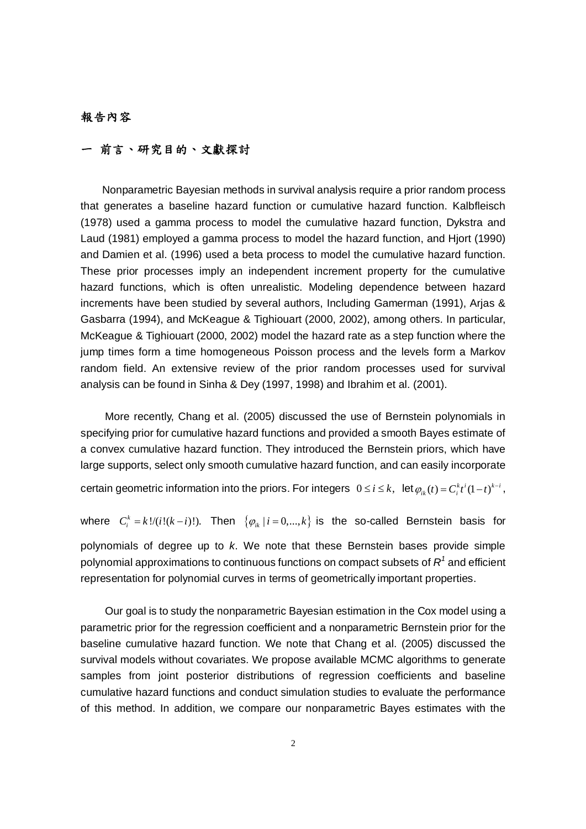## 報告內容

# 一 前言、研究目的、文獻探討

 Nonparametric Bayesian methods in survival analysis require a prior random process that generates a baseline hazard function or cumulative hazard function. Kalbfleisch (1978) used a gamma process to model the cumulative hazard function, Dykstra and Laud (1981) employed a gamma process to model the hazard function, and Hjort (1990) and Damien et al. (1996) used a beta process to model the cumulative hazard function. These prior processes imply an independent increment property for the cumulative hazard functions, which is often unrealistic. Modeling dependence between hazard increments have been studied by several authors, Including Gamerman (1991), Arjas & Gasbarra (1994), and McKeague & Tighiouart (2000, 2002), among others. In particular, McKeague & Tighiouart (2000, 2002) model the hazard rate as a step function where the jump times form a time homogeneous Poisson process and the levels form a Markov random field. An extensive review of the prior random processes used for survival analysis can be found in Sinha & Dey (1997, 1998) and Ibrahim et al. (2001).

More recently, Chang et al. (2005) discussed the use of Bernstein polynomials in specifying prior for cumulative hazard functions and provided a smooth Bayes estimate of a convex cumulative hazard function. They introduced the Bernstein priors, which have large supports, select only smooth cumulative hazard function, and can easily incorporate

certain geometric information into the priors. For integers  $0 \le i \le k$ ,  $\det \varphi_{ik}(t) = C_i^k t^i (1-t)^{k-i}$ ,

where  $C_i^k = k!/(i! (k-i)!)$ . Then  $\{\varphi_{ik} | i = 0,...,k\}$  is the so-called Bernstein basis for polynomials of degree up to *k*. We note that these Bernstein bases provide simple polynomial approximations to continuous functions on compact subsets of  $\boldsymbol{R}^1$  and efficient representation for polynomial curves in terms of geometrically important properties.

Our goal is to study the nonparametric Bayesian estimation in the Cox model using a parametric prior for the regression coefficient and a nonparametric Bernstein prior for the baseline cumulative hazard function. We note that Chang et al. (2005) discussed the survival models without covariates. We propose available MCMC algorithms to generate samples from joint posterior distributions of regression coefficients and baseline cumulative hazard functions and conduct simulation studies to evaluate the performance of this method. In addition, we compare our nonparametric Bayes estimates with the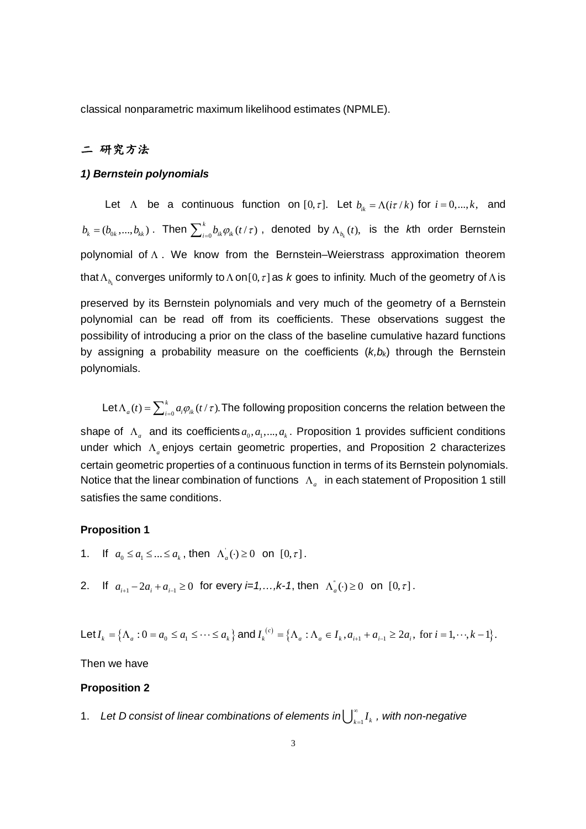classical nonparametric maximum likelihood estimates (NPMLE).

# 二 研究方法

#### *1) Bernstein polynomials*

Let  $\Lambda$  be a continuous function on  $[0, \tau]$ . Let  $b_{ik} = \Lambda(i\tau/k)$  for  $i = 0, ..., k$ , and  $b_k = (b_{0k},...,b_{kk})$ . Then  $\sum_{i=0}^k b_{ik}\varphi_{ik}(t/\tau)$  , denoted by  $\Lambda_{b_k}(t)$ , is the *k*th order Bernstein polynomial of Λ . We know from the Bernstein–Weierstrass approximation theorem that $\Lambda_{\overline{\mathbb{A}}_k}$ converges uniformly to Λ on $[0,\tau]$  as  $k$  goes to infinity. Much of the geometry of Λ is preserved by its Bernstein polynomials and very much of the geometry of a Bernstein polynomial can be read off from its coefficients. These observations suggest the possibility of introducing a prior on the class of the baseline cumulative hazard functions by assigning a probability measure on the coefficients  $(k, b_k)$  through the Bernstein polynomials.

Let  $\Lambda_a(t) = \sum_{i=0}^k a_i \varphi_{ik}(t/\tau)$ . The following proposition concerns the relation between the

shape of  $\Lambda_a$  and its coefficients  $a_0, a_1, ..., a_k$ . Proposition 1 provides sufficient conditions under which Λ*<sup>a</sup>* enjoys certain geometric properties, and Proposition 2 characterizes certain geometric properties of a continuous function in terms of its Bernstein polynomials. Notice that the linear combination of functions Λ*a* in each statement of Proposition 1 still satisfies the same conditions.

## **Proposition 1**

- 1. If  $a_0 \le a_1 \le ... \le a_k$ , then  $\Lambda_a(\cdot) \ge 0$  on  $[0, \tau]$ .
- 2. If  $a_{i+1} 2a_i + a_{i-1} \ge 0$  for every  $i=1,\ldots,k-1$ , then  $\Lambda_a^{\dagger}(\cdot) \ge 0$  on  $[0,\tau]$ .

Let 
$$
I_k = \{ \Lambda_a : 0 = a_0 \le a_1 \le \dots \le a_k \}
$$
 and  $I_k^{(c)} = \{ \Lambda_a : \Lambda_a \in I_k, a_{i+1} + a_{i-1} \ge 2a_i, \text{ for } i = 1, \dots, k-1 \}.$ 

Then we have

#### **Proposition 2**

1. Let D consist of linear combinations of elements in $\bigcup_{k=1}^{\infty} I_k$  , with non-negative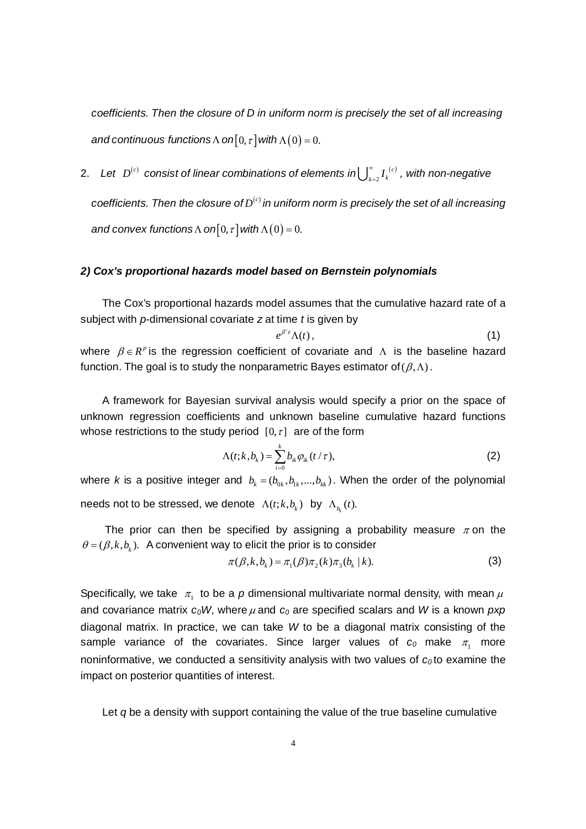*coefficients. Then the closure of D in uniform norm is precisely the set of all increasing and continuous functions*  $\Lambda$  *on*[0,  $\tau$ ] *with*  $\Lambda$ (0) = 0.

2. Let  $\,D^{(c)}\,$  consist of linear combinations of elements in $\bigcup_{k=2}^\infty I_k^{\,(c)}\,$  $\bigcup_{k=2}^{\infty} I_k^{(c)}$  , with non-negative *coefficients. Then the closure of*  $D^{(c)}$  *in uniform norm is precisely the set of all increasing and convex functions*  $\Lambda$  *on*[0,  $\tau$ ] *with*  $\Lambda$  (0) = 0.

#### *2) Cox's proportional hazards model based on Bernstein polynomials*

The Cox's proportional hazards model assumes that the cumulative hazard rate of a subject with *p*-dimensional covariate *z* at time *t* is given by

$$
e^{\beta'z}\Lambda(t)\,,\tag{1}
$$

where  $\beta \in R^p$  is the regression coefficient of covariate and  $\Lambda$  is the baseline hazard function. The goal is to study the nonparametric Bayes estimator of  $(\beta,\Lambda)$ .

A framework for Bayesian survival analysis would specify a prior on the space of unknown regression coefficients and unknown baseline cumulative hazard functions whose restrictions to the study period  $[0, \tau]$  are of the form

$$
\Lambda(t;k,b_k) = \sum_{i=0}^{k} b_{ik} \varphi_{ik} (t \, / \, \tau), \tag{2}
$$

where *k* is a positive integer and  $b_k = (b_{0k}, b_{1k}, ..., b_{kk})$ . When the order of the polynomial needs not to be stressed, we denote  $\Lambda(t; k, b_k)$  by  $\Lambda_{b_k}(t)$ .

The prior can then be specified by assigning a probability measure  $\pi$  on the  $\theta = (\beta, k, b_i)$ . A convenient way to elicit the prior is to consider

$$
\pi(\beta, k, b_k) = \pi_1(\beta)\pi_2(k)\pi_3(b_k | k). \tag{3}
$$

Specifically, we take  $\pi_1$  to be a *p* dimensional multivariate normal density, with mean  $\mu$ and covariance matrix *c0W*, where <sup>μ</sup> and *c0* are specified scalars and *W* is a known *pxp* diagonal matrix. In practice, we can take *W* to be a diagonal matrix consisting of the sample variance of the covariates. Since larger values of  $c_0$  make  $\pi_1$  more noninformative, we conducted a sensitivity analysis with two values of  $c_0$  to examine the impact on posterior quantities of interest.

Let *q* be a density with support containing the value of the true baseline cumulative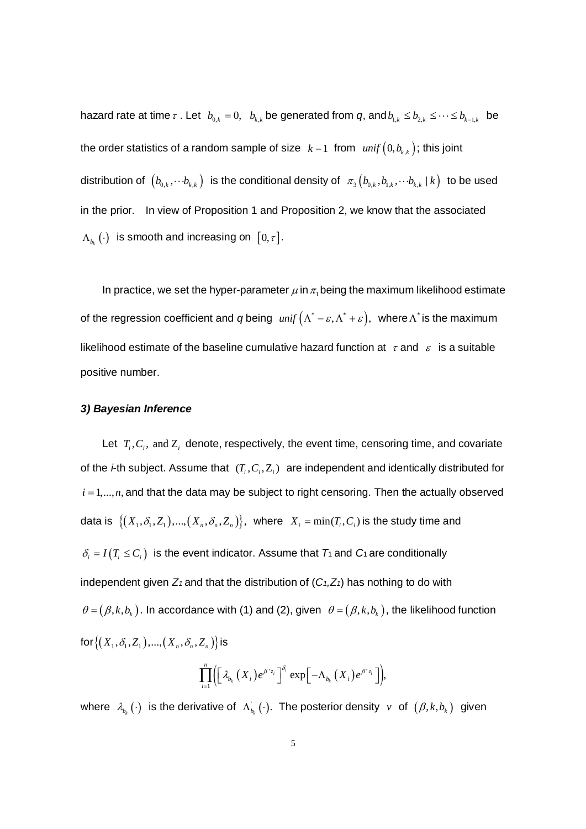hazard rate at time  $\tau$  . Let  $b_{0,k} = 0$ ,  $b_{k,k}$  be generated from  $q$ , and  $b_{1,k} \leq b_{2,k} \leq \cdots \leq b_{k-1,k}$  be the order statistics of a random sample of size  $k-1$  from  $unif (0, b_{k,k})$ ; this joint distribution of  $(b_{0,k}, \cdots b_{k,k})$  is the conditional density of  $\pi_3(b_{0,k}, b_{1,k}, \cdots b_{k,k} | k)$  to be used in the prior. In view of Proposition 1 and Proposition 2, we know that the associated  $\Lambda_{b_{k}}(\cdot)$  is smooth and increasing on  $[0,\tau]$ .

In practice, we set the hyper-parameter  $\mu$  in  $\pi$ , being the maximum likelihood estimate of the regression coefficient and *q* being  $unif (\Lambda^* - \varepsilon, \Lambda^* + \varepsilon)$ , where  $\Lambda^*$  is the maximum likelihood estimate of the baseline cumulative hazard function at  $\tau$  and  $\epsilon$  is a suitable positive number.

#### *3) Bayesian Inference*

Let  $T_i, C_i$ , and  $Z_i$  denote, respectively, the event time, censoring time, and covariate of the *i*-th subject. Assume that  $(T_i, C_i, Z_i)$  are independent and identically distributed for  $i = 1, \ldots, n$ , and that the data may be subject to right censoring. Then the actually observed data is  $\{(X_1, \delta_1, Z_1), ..., (X_n, \delta_n, Z_n)\}\$ , where  $X_i = \min(T_i, C_i)$  is the study time and  $\delta_i = I(T_i \leq C_i)$  is the event indicator. Assume that  $T_1$  and  $C_1$  are conditionally independent given  $Z_1$  and that the distribution of  $(C_1, Z_1)$  has nothing to do with  $\theta = (\beta, k, b_k)$ . In accordance with (1) and (2), given  $\theta = (\beta, k, b_k)$ , the likelihood function  $\text{for}\{(X_1, \delta_1, Z_1), ..., (X_n, \delta_n, Z_n)\}\$ is

$$
\prod_{i=1}^n \Bigl(\Bigl[\lambda_{b_k}\left(X_i\right)e^{\beta'z_i}\Bigr]^{\delta_i}\exp\Bigl[-\Lambda_{b_k}\left(X_i\right)e^{\beta'z_i}\Bigr]\Bigr),
$$

where  $\lambda_{b_k}(\cdot)$  is the derivative of  $\Lambda_{b_k}(\cdot)$ . The posterior density *v* of  $(\beta, k, b_k)$  given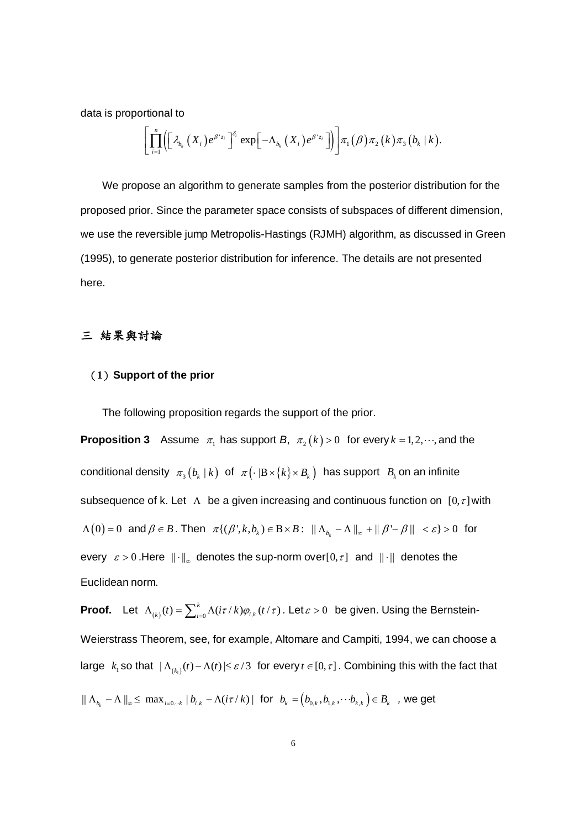data is proportional to

$$
\Bigg[\prod_{i=1}^{n}\Bigl(\Bigl[\lambda_{b_{k}}\left(X_{i}\right)e^{\beta^{*}z_{i}}\Bigr]^{\!\delta_{\!i}}\,\exp\Bigl[-\Lambda_{b_{k}}\left(X_{i}\right)e^{\beta^{*}z_{i}}\Bigr]\Bigr)\Bigg]\pi_{1}\bigl(\beta\bigr)\pi_{2}\bigl(k\bigr)\pi_{3}\bigl(b_{k}\,\vert\,k\bigr).
$$

We propose an algorithm to generate samples from the posterior distribution for the proposed prior. Since the parameter space consists of subspaces of different dimension, we use the reversible jump Metropolis-Hastings (RJMH) algorithm, as discussed in Green (1995), to generate posterior distribution for inference. The details are not presented here.

# 三 結果與討論

## (**1**)**Support of the prior**

The following proposition regards the support of the prior.

**Proposition 3** Assume  $\pi_1$  has support *B*,  $\pi_2(k) > 0$  for every  $k = 1, 2, \dots$ , and the conditional density  $\pi_3 ( b_k | k )$  of  $\pi ( \cdot |B \times \{k\} \times B_k )$  has support  $B_k$  on an infinite subsequence of k. Let  $\Lambda$  be a given increasing and continuous function on  $[0, \tau]$  with  $\Lambda(0) = 0$  and  $\beta \in B$ . Then  $\pi\{(\beta', k, b_k) \in B \times B: ||\Lambda_{b_k} - \Lambda||_{\infty} + ||\beta' - \beta|| < \varepsilon\} > 0$  for every  $\varepsilon > 0$ . Here  $\|\cdot\|_{\infty}$  denotes the sup-norm over[0,  $\tau$ ] and  $\|\cdot\|$  denotes the Euclidean norm.

**Proof.** Let  $\Lambda_{(k)}(t) = \sum_{i=0}^k \Lambda(it \tau / k) \varphi_{i,k}(t/\tau)$  . Let $\varepsilon > 0$  be given. Using the Bernstein-Weierstrass Theorem, see, for example, Altomare and Campiti, 1994, we can choose a large  $k_{_1}$ so that  $|\Lambda_{_{(k_i)}}(t)-\Lambda(t)|\leq \varepsilon/3\;$  for every  $t\in [0,\tau]$  . Combining this with the fact that

 $|| \Lambda_{b_k} - \Lambda ||_{\infty} \leq \max_{i=0...k} |b_{i,k} - \Lambda(i\tau/k)|$  for  $b_k = (b_{0,k}, b_{1,k}, \cdots b_{k,k}) \in B_k$ , we get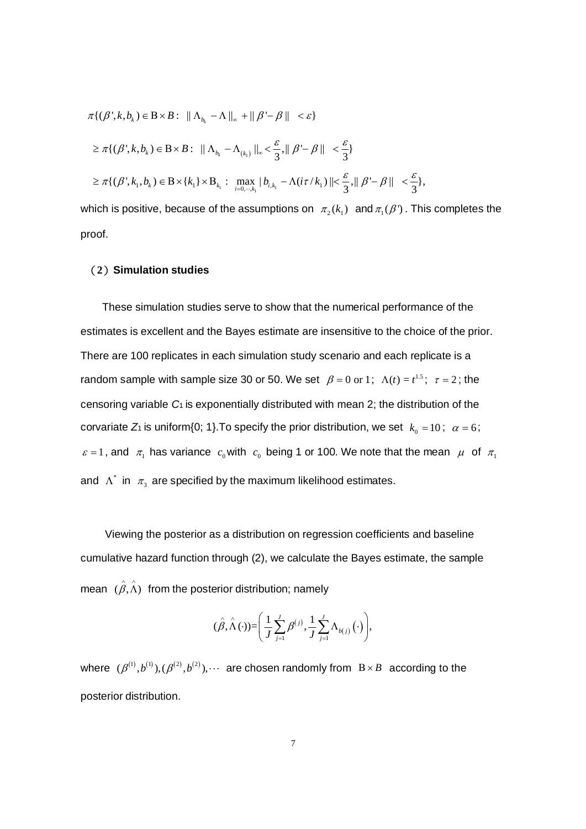{( ', , ) : || || || ' || } *<sup>k</sup> k b* πβ <sup>β</sup> <sup>β</sup> <sup>ε</sup> *kb B* ∈Β× Λ −Λ + − < <sup>∞</sup> ( ) <sup>1</sup> {( ', , ) : || || ,|| ' || } 3 3 *<sup>k</sup> k b <sup>k</sup> kb B* <sup>ε</sup> <sup>ε</sup> ≥ ∈Β× Λ −Λ < − < πβ <sup>β</sup> <sup>β</sup> <sup>∞</sup> 1 1 <sup>1</sup> 1 1 ,1 0, , {( ', , ) { } : max | ( / ) || ,|| ' || }, 3 3 *k k ik i k kb k b i k* <sup>ε</sup> <sup>ε</sup> πβ <sup>τ</sup> <sup>β</sup> <sup>β</sup> = ⋅⋅⋅ ≥ ∈Β× ×Β −Λ < − <

which is positive, because of the assumptions on  $\pi_1 (k_1)$  and  $\pi_1 (\beta')$ . This completes the proof.

#### (**2**)**Simulation studies**

These simulation studies serve to show that the numerical performance of the estimates is excellent and the Bayes estimate are insensitive to the choice of the prior. There are 100 replicates in each simulation study scenario and each replicate is a random sample with sample size 30 or 50. We set  $\beta = 0$  or 1;  $\Lambda(t) = t^{1.5}$ ;  $\tau = 2$ ; the censoring variable *C*1 is exponentially distributed with mean 2; the distribution of the corvariate  $Z_1$  is uniform{0; 1}. To specify the prior distribution, we set  $k_0 = 10$ ;  $\alpha = 6$ ;  $\varepsilon = 1$ , and  $\pi_1$  has variance  $c_0$  with  $c_0$  being 1 or 100. We note that the mean  $\mu$  of  $\pi_1$ and  $\Lambda^*$  in  $\pi_3$  are specified by the maximum likelihood estimates.

Viewing the posterior as a distribution on regression coefficients and baseline cumulative hazard function through (2), we calculate the Bayes estimate, the sample mean  $(\hat{\beta}, \hat{\Lambda})$  from the posterior distribution; namely

$$
(\hat{\beta}, \hat{\Lambda}(\cdot)) = \left(\frac{1}{J} \sum_{j=1}^{J} \beta^{(j)}, \frac{1}{J} \sum_{j=1}^{J} \Lambda_{b(j)}(\cdot)\right),\
$$

where  $(\beta^{(1)}, b^{(1)}), (\beta^{(2)}, b^{(2)}), \cdots$  are chosen randomly from  $B \times B$  according to the posterior distribution.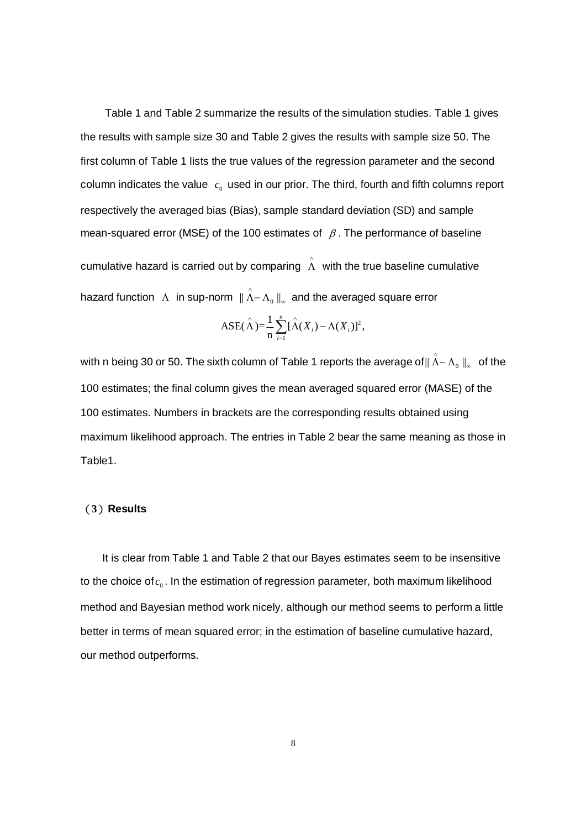Table 1 and Table 2 summarize the results of the simulation studies. Table 1 gives the results with sample size 30 and Table 2 gives the results with sample size 50. The first column of Table 1 lists the true values of the regression parameter and the second column indicates the value  $c_0$  used in our prior. The third, fourth and fifth columns report respectively the averaged bias (Bias), sample standard deviation (SD) and sample mean-squared error (MSE) of the 100 estimates of  $\beta$ . The performance of baseline cumulative hazard is carried out by comparing  $\hat{\Lambda}$  with the true baseline cumulative hazard function  $|\Lambda|$  in sup-norm  $\|\hat{\Lambda}-\Lambda_0\,\|_{_\infty}$  and the averaged square error

$$
ASE(\hat{\Lambda}) = \frac{1}{n} \sum_{i=1}^{n} [\hat{\Lambda}(X_i) - \Lambda(X_i)]^2,
$$

with n being 30 or 50. The sixth column of Table 1 reports the average of $\|\hat{\Lambda}-\Lambda_{_0}\,\|_{_\infty}\|$  of the 100 estimates; the final column gives the mean averaged squared error (MASE) of the 100 estimates. Numbers in brackets are the corresponding results obtained using maximum likelihood approach. The entries in Table 2 bear the same meaning as those in Table1.

#### (**3**)**Results**

It is clear from Table 1 and Table 2 that our Bayes estimates seem to be insensitive to the choice of  $c_0$ . In the estimation of regression parameter, both maximum likelihood method and Bayesian method work nicely, although our method seems to perform a little better in terms of mean squared error; in the estimation of baseline cumulative hazard, our method outperforms.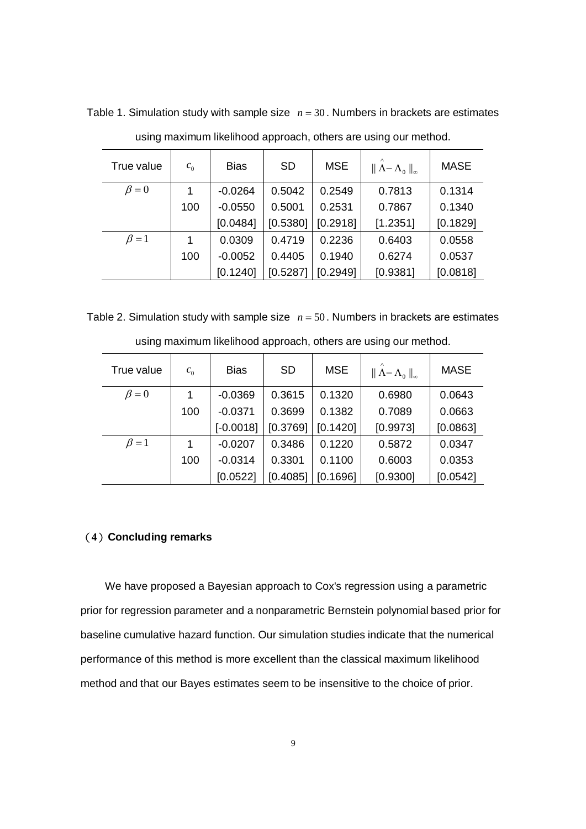| True value  | $c_{0}$ | <b>Bias</b> | <b>SD</b> | <b>MSE</b> | $\ \Lambda-\Lambda_0\ _{\infty}$ | <b>MASE</b> |
|-------------|---------|-------------|-----------|------------|----------------------------------|-------------|
| $\beta = 0$ | 1       | $-0.0264$   | 0.5042    | 0.2549     | 0.7813                           | 0.1314      |
|             | 100     | $-0.0550$   | 0.5001    | 0.2531     | 0.7867                           | 0.1340      |
|             |         | [0.0484]    | [0.5380]  | [0.2918]   | [1.2351]                         | [0.1829]    |
| $\beta = 1$ | 1       | 0.0309      | 0.4719    | 0.2236     | 0.6403                           | 0.0558      |
|             | 100     | $-0.0052$   | 0.4405    | 0.1940     | 0.6274                           | 0.0537      |
|             |         | [0.1240]    | [0.5287]  | [0.2949]   | [0.9381]                         | [0.0818]    |

Table 1. Simulation study with sample size  $n = 30$ . Numbers in brackets are estimates

using maximum likelihood approach, others are using our method.

Table 2. Simulation study with sample size  $n = 50$ . Numbers in brackets are estimates

| True value  | $c_{0}$ | <b>Bias</b> | <b>SD</b> | <b>MSE</b> | $\ \Lambda-\Lambda_0\ _{\infty}$ | <b>MASE</b> |
|-------------|---------|-------------|-----------|------------|----------------------------------|-------------|
| $\beta = 0$ |         | $-0.0369$   | 0.3615    | 0.1320     | 0.6980                           | 0.0643      |
|             | 100     | $-0.0371$   | 0.3699    | 0.1382     | 0.7089                           | 0.0663      |
|             |         | $[-0.0018]$ | [0.3769]  | [0.1420]   | [0.9973]                         | [0.0863]    |
| $\beta = 1$ |         | $-0.0207$   | 0.3486    | 0.1220     | 0.5872                           | 0.0347      |
|             | 100     | $-0.0314$   | 0.3301    | 0.1100     | 0.6003                           | 0.0353      |
|             |         | [0.0522]    | [0.4085]  | [0.1696]   | [0.9300]                         | [0.0542]    |

using maximum likelihood approach, others are using our method.

# (**4**)**Concluding remarks**

We have proposed a Bayesian approach to Cox's regression using a parametric prior for regression parameter and a nonparametric Bernstein polynomial based prior for baseline cumulative hazard function. Our simulation studies indicate that the numerical performance of this method is more excellent than the classical maximum likelihood method and that our Bayes estimates seem to be insensitive to the choice of prior.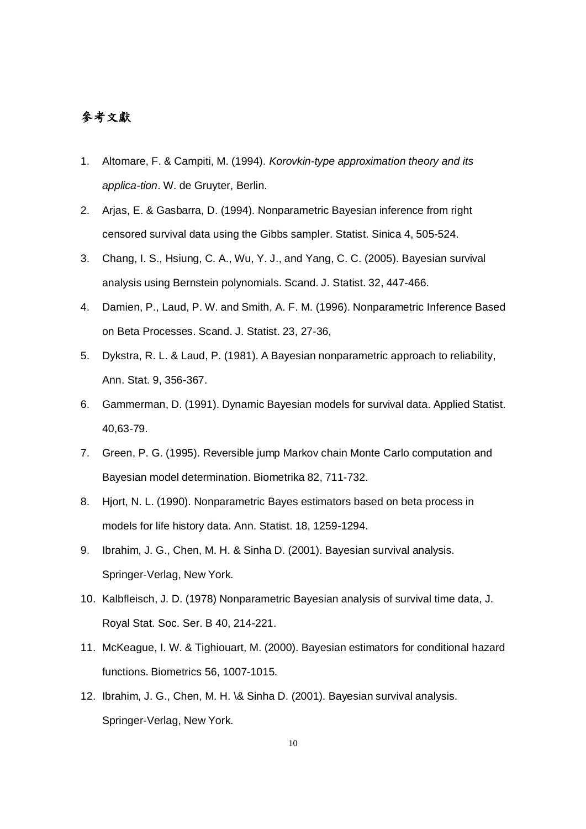# 參考文獻

- 1. Altomare, F. & Campiti, M. (1994). *Korovkin-type approximation theory and its applica-tion*. W. de Gruyter, Berlin.
- 2. Arjas, E. & Gasbarra, D. (1994). Nonparametric Bayesian inference from right censored survival data using the Gibbs sampler. Statist. Sinica 4, 505-524.
- 3. Chang, I. S., Hsiung, C. A., Wu, Y. J., and Yang, C. C. (2005). Bayesian survival analysis using Bernstein polynomials. Scand. J. Statist. 32, 447-466.
- 4. Damien, P., Laud, P. W. and Smith, A. F. M. (1996). Nonparametric Inference Based on Beta Processes. Scand. J. Statist. 23, 27-36,
- 5. Dykstra, R. L. & Laud, P. (1981). A Bayesian nonparametric approach to reliability, Ann. Stat. 9, 356-367.
- 6. Gammerman, D. (1991). Dynamic Bayesian models for survival data. Applied Statist. 40,63-79.
- 7. Green, P. G. (1995). Reversible jump Markov chain Monte Carlo computation and Bayesian model determination. Biometrika 82, 711-732.
- 8. Hjort, N. L. (1990). Nonparametric Bayes estimators based on beta process in models for life history data. Ann. Statist. 18, 1259-1294.
- 9. Ibrahim, J. G., Chen, M. H. & Sinha D. (2001). Bayesian survival analysis. Springer-Verlag, New York.
- 10. Kalbfleisch, J. D. (1978) Nonparametric Bayesian analysis of survival time data, J. Royal Stat. Soc. Ser. B 40, 214-221.
- 11. McKeague, I. W. & Tighiouart, M. (2000). Bayesian estimators for conditional hazard functions. Biometrics 56, 1007-1015.
- 12. Ibrahim, J. G., Chen, M. H. \& Sinha D. (2001). Bayesian survival analysis. Springer-Verlag, New York.